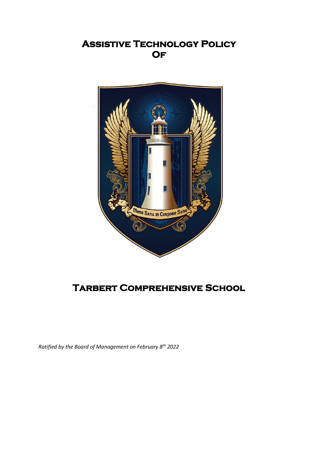## **Assistive Technology Policy Of**



# **Tarbert Comprehensive School**

*Ratified by the Board of Management on February 8th 2022*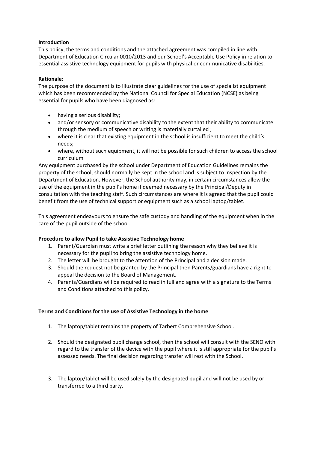#### **Introduction**

This policy, the terms and conditions and the attached agreement was compiled in line with Department of Education Circular 0010/2013 and our School's Acceptable Use Policy in relation to essential assistive technology equipment for pupils with physical or communicative disabilities.

#### **Rationale:**

The purpose of the document is to illustrate clear guidelines for the use of specialist equipment which has been recommended by the National Council for Special Education (NCSE) as being essential for pupils who have been diagnosed as:

- having a serious disability;
- and/or sensory or communicative disability to the extent that their ability to communicate through the medium of speech or writing is materially curtailed ;
- where it is clear that existing equipment in the school is insufficient to meet the child's needs;
- where, without such equipment, it will not be possible for such children to access the school curriculum

Any equipment purchased by the school under Department of Education Guidelines remains the property of the school, should normally be kept in the school and is subject to inspection by the Department of Education. However, the School authority may, in certain circumstances allow the use of the equipment in the pupil's home if deemed necessary by the Principal/Deputy in consultation with the teaching staff. Such circumstances are where it is agreed that the pupil could benefit from the use of technical support or equipment such as a school laptop/tablet.

This agreement endeavours to ensure the safe custody and handling of the equipment when in the care of the pupil outside of the school.

#### **Procedure to allow Pupil to take Assistive Technology home**

- 1. Parent/Guardian must write a brief letter outlining the reason why they believe it is necessary for the pupil to bring the assistive technology home.
- 2. The letter will be brought to the attention of the Principal and a decision made.
- 3. Should the request not be granted by the Principal then Parents/guardians have a right to appeal the decision to the Board of Management.
- 4. Parents/Guardians will be required to read in full and agree with a signature to the Terms and Conditions attached to this policy.

### **Terms and Conditions for the use of Assistive Technology in the home**

- 1. The laptop/tablet remains the property of Tarbert Comprehensive School.
- 2. Should the designated pupil change school, then the school will consult with the SENO with regard to the transfer of the device with the pupil where it is still appropriate for the pupil's assessed needs. The final decision regarding transfer will rest with the School.
- 3. The laptop/tablet will be used solely by the designated pupil and will not be used by or transferred to a third party.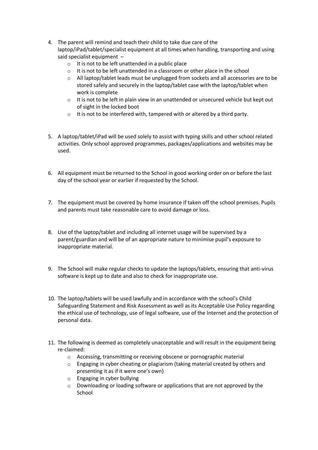- 4. The parent will remind and teach their child to take due care of the laptop/iPad/tablet/specialist equipment at all times when handling, transporting and using said specialist equipment –
	- $\circ$  It is not to be left unattended in a public place
	- o It is not to be left unattended in a classroom or other place in the school
	- $\circ$  All laptop/tablet leads must be unplugged from sockets and all accessories are to be stored safely and securely in the laptop/tablet case with the laptop/tablet when work is complete
	- $\circ$  It is not to be left in plain view in an unattended or unsecured vehicle but kept out of sight in the locked boot
	- o It is not to be interfered with, tampered with or altered by a third party.
- 5. A laptop/tablet/iPad will be used solely to assist with typing skills and other school related activities. Only school approved programmes, packages/applications and websites may be used.
- 6. All equipment must be returned to the School in good working order on or before the last day of the school year or earlier if requested by the School.
- 7. The equipment must be covered by home insurance if taken off the school premises. Pupils and parents must take reasonable care to avoid damage or loss.
- 8. Use of the laptop/tablet and including all internet usage will be supervised by a parent/guardian and will be of an appropriate nature to minimise pupil's exposure to inappropriate material.
- 9. The School will make regular checks to update the laptops/tablets, ensuring that anti-virus software is kept up to date and also to check for inappropriate use.
- 10. The laptop/tablets will be used lawfully and in accordance with the school's Child Safeguarding Statement and Risk Assessment as well as its Acceptable Use Policy regarding the ethical use of technology, use of legal software, use of the Internet and the protection of personal data.
- 11. The following is deemed as completely unacceptable and will result in the equipment being re-claimed:
	- o Accessing, transmitting or receiving obscene or pornographic material
	- $\circ$  Engaging in cyber cheating or plagiarism (taking material created by others and presenting it as if it were one's own)
	- o Engaging in cyber bullying
	- o Downloading or loading software or applications that are not approved by the School